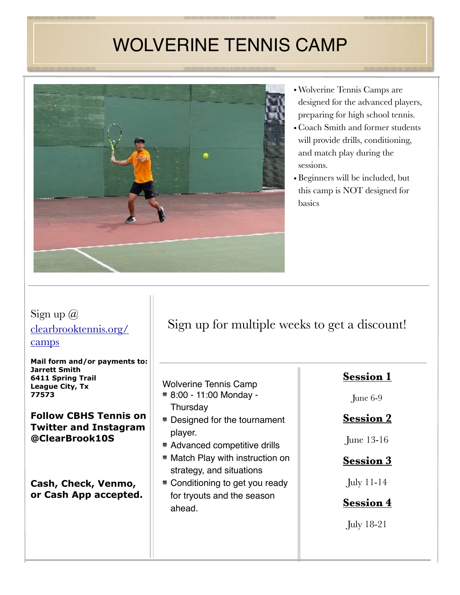# WOLVERINE TENNIS CAMP

<u> 1999 - Jan Barn Harry Harry Harry Harry Harry Harry Harry Harry Harry Harry Harry Harry Harry Harry Harry Harry Harry Harry Harry Harry Harry Harry Harry Harry Harry Harry Harry Harry Harry Harry Harry Harry Harry Harry </u>



- •Wolverine Tennis Camps are designed for the advanced players, preparing for high school tennis.
- Coach Smith and former students will provide drills, conditioning, and match play during the sessions.
- Beginners will be included, but this camp is NOT designed for basics

### Sign up  $\omega$ [clearbrooktennis.org/](http://clearbrooktennis.org/camps) [camps](http://clearbrooktennis.org/camps)

**Mail form and/or payments to: Jarrett Smith 6411 Spring Trail League City, Tx 77573**

#### **Follow CBHS Tennis on Twitter and Instagram @ClearBrook10S**

**Cash, Check, Venmo, or Cash App accepted.** 

## Sign up for multiple weeks to get a discount!

# Wolverine Tennis Camp

- 8:00 11:00 Monday **Thursday**
- Designed for the tournament player.
- Advanced competitive drills
- **Match Play with instruction on** strategy, and situations
- Conditioning to get you ready for tryouts and the season ahead.

### **Session 1**

June 6-9

### **Session 2**

June 13-16

#### **Session 3**

July 11-14

### **Session 4**

July 18-21